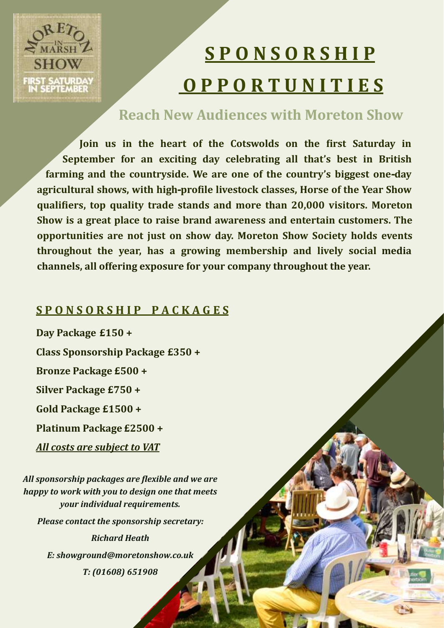# **SHOW** FIRST SATURDA SEPTEMBER

# **S P O N S O R S H I P O P P O R T U N I T I E S**

# **Reach New Audiences with Moreton Show**

**Join us in the heart of the Cotswolds on the first Saturday in September for an exciting day celebrating all that's best in British farming and the countryside. We are one of the country's biggest one-day agricultural shows, with high-profile livestock classes, Horse of the Year Show qualifiers, top quality trade stands and more than 20,000 visitors. Moreton Show is a great place to raise brand awareness and entertain customers. The opportunities are not just on show day. Moreton Show Society holds events throughout the year, has a growing membership and lively social media channels, all offering exposure for your company throughout the year.** 

# **S P O N S O R S H I P P A C K A G E S**

**Day Package £150 + Class Sponsorship Package £350 + Bronze Package £500 + Silver Package £750 + Gold Package £1500 + Platinum Package £2500 +** *All costs are subject to VAT All sponsorship packages are flexible and we are happy to work with you to design one that meets your individual requirements.* 

*Please contact the sponsorship secretary:*

*Richard Heath E: showground@moretonshow.co.uk T: (01608) 651908*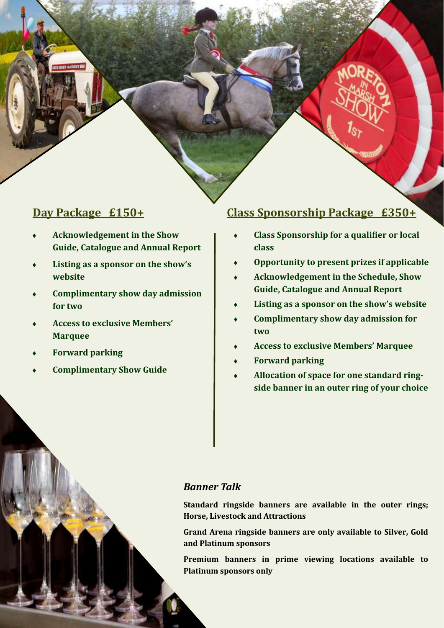### **Day Package £150+**

- **Acknowledgement in the Show Guide, Catalogue and Annual Report**
- **Listing as a sponsor on the show's website**
- **Complimentary show day admission for two**
- **Access to exclusive Members' Marquee**
- **Forward parking**
- **Complimentary Show Guide**

## **Class Sponsorship Package £350+**

- **Class Sponsorship for a qualifier or local class**
- **Opportunity to present prizes if applicable**
- **Acknowledgement in the Schedule, Show Guide, Catalogue and Annual Report**
- **Listing as a sponsor on the show's website**
- **Complimentary show day admission for two**
- **Access to exclusive Members' Marquee**
- **Forward parking**
- **Allocation of space for one standard ringside banner in an outer ring of your choice**

#### *Banner Talk*

**Standard ringside banners are available in the outer rings; Horse, Livestock and Attractions**

**Grand Arena ringside banners are only available to Silver, Gold and Platinum sponsors**

**Premium banners in prime viewing locations available to Platinum sponsors only**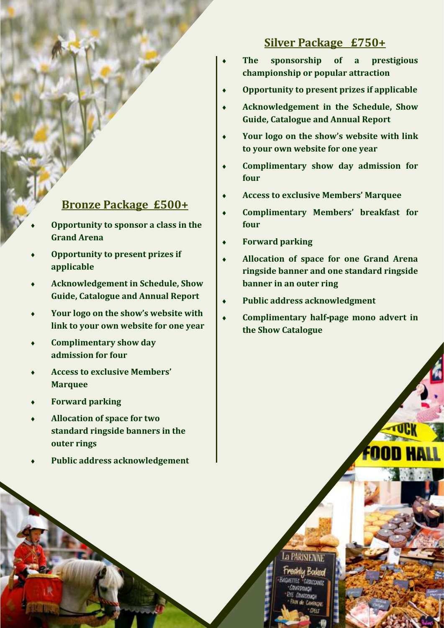#### **Silver Package £750+**

- **The sponsorship of a prestigious championship or popular attraction**
- **Opportunity to present prizes if applicable**
- **Acknowledgement in the Schedule, Show Guide, Catalogue and Annual Report**
- **Your logo on the show's website with link to your own website for one year**
- **Complimentary show day admission for four**
- **Access to exclusive Members' Marquee**
- **Complimentary Members' breakfast for four**
- **Forward parking**
- **Allocation of space for one Grand Arena ringside banner and one standard ringside banner in an outer ring**
- **Public address acknowledgment**
- **Complimentary half-page mono advert in the Show Catalogue**

# **Bronze Package £500+**

- **Opportunity to sponsor a class in the Grand Arena**
- **Opportunity to present prizes if applicable**
- **Acknowledgement in Schedule, Show Guide, Catalogue and Annual Report**
- **Your logo on the show's website with link to your own website for one year**
- **Complimentary show day admission for four**
- **Access to exclusive Members' Marquee**
- **Forward parking**
- **Allocation of space for two standard ringside banners in the outer rings**
- **Public address acknowledgement**

La PARISIENNE